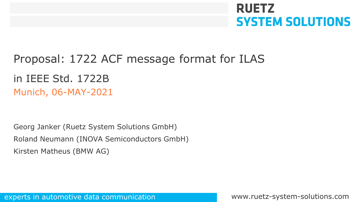# **RUETZ SYSTEM SOLUTIONS**

## Proposal: 1722 ACF message format for ILAS

### Munich, 06-MAY-2021 in IEEE Std. 1722B

Georg Janker (Ruetz System Solutions GmbH) Roland Neumann (INOVA Semiconductors GmbH) Kirsten Matheus (BMW AG)

experts in automotive data communication www.ruetz-system-solutions.com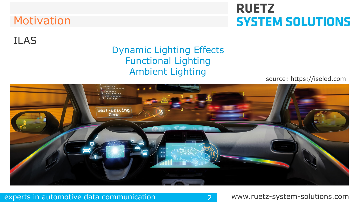### Motivation

# **RUETZ SYSTEM SOLUTIONS**

### ILAS

### Dynamic Lighting Effects Functional Lighting Ambient Lighting

source: https://iseled.com



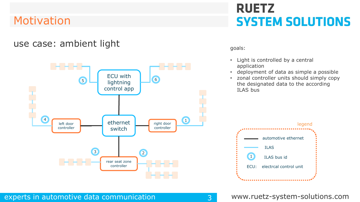### Motivation

#### use case: ambient light



# **RUETZ SYSTEM SOLUTIONS**

goals:

- Light is controlled by a central application
- deployment of data as simple a possible
- zonal controller units should simply copy the designated data to the according ILAS bus

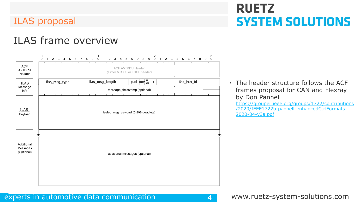# **RUETZ SYSTEM SOLUTIONS**

### ILAS frame overview



• The header structure follows the ACF frames proposal for CAN and Flexray by Don Pannell

https://grouper.ieee.org/groups/1722/contributions [/2020/IEEE1722b-pannell-enhancedCtrlFormats-](https://grouper.ieee.org/groups/1722/contributions/2020/IEEE1722b-pannell-enhancedCtrlFormats-2020-04-v3a.pdf)2020-04-v3a.pdf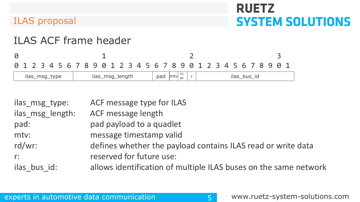# **RUETZ SYSTEM SOLUTIONS**

### ILAS proposal

### ILAS ACF frame header

0 1 2 3 0 1 2 3 4 5 6 7 8 9 0 1 2 3 4 5 6 7 8 9 0 1 2 3 4 5 6 7 8 9 0 1

| msa<br>msa<br>lenath<br>type<br>ılas<br>ılas<br><u>_</u> | pag<br><b>Imtyl</b> | $r^{-1}$<br>Wr |  | ٬٢<br><b>DUS</b><br>la:<br><b>STATISTICS</b> |
|----------------------------------------------------------|---------------------|----------------|--|----------------------------------------------|
|----------------------------------------------------------|---------------------|----------------|--|----------------------------------------------|

| ilas msg type:<br>ilas msg length: | ACF message type for ILAS<br>ACF message length                  |
|------------------------------------|------------------------------------------------------------------|
| pad:                               | pad payload to a quadlet                                         |
| mtv:                               | message timestamp valid                                          |
| $rd/wr$ :                          | defines whether the payload contains ILAS read or write data     |
|                                    | reserved for future use:                                         |
| $r$ :                              |                                                                  |
| ilas bus id:                       | allows identification of multiple ILAS buses on the same network |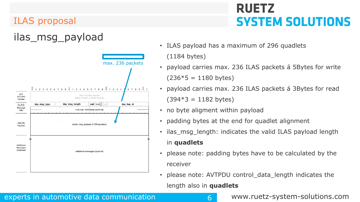## ilas\_msg\_payload



# **RUETZ SYSTEM SOLUTIONS**

• ILAS payload has a maximum of 296 quadlets

(1184 bytes)

- payload carries max. 236 ILAS packets á 5Bytes for write  $(236*5 = 1180$  bytes)
- payload carries max. 236 ILAS packets á 3Bytes for read  $(394*3 = 1182$  bytes)
- no byte aligment within payload
- padding bytes at the end for quadlet alignment
- ilas\_msg\_length: indicates the valid ILAS payload length in **quadlets**
- please note: padding bytes have to be calculated by the receiver
- please note: AVTPDU control data length indicates the length also in **quadlets**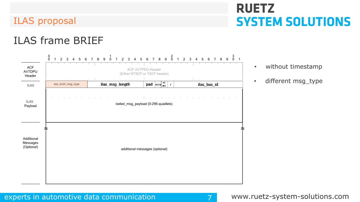# **RUETZ SYSTEM SOLUTIONS**

### ILAS frame BRIEF



- without timestamp
- 

#### experts in automotive data communication and the system-solutions.com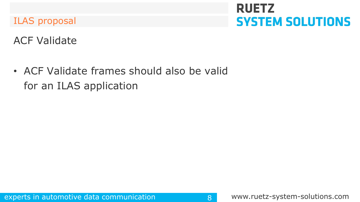# **RUETZ SYSTEM SOLUTIONS**

ACF Validate

• ACF Validate frames should also be valid for an ILAS application